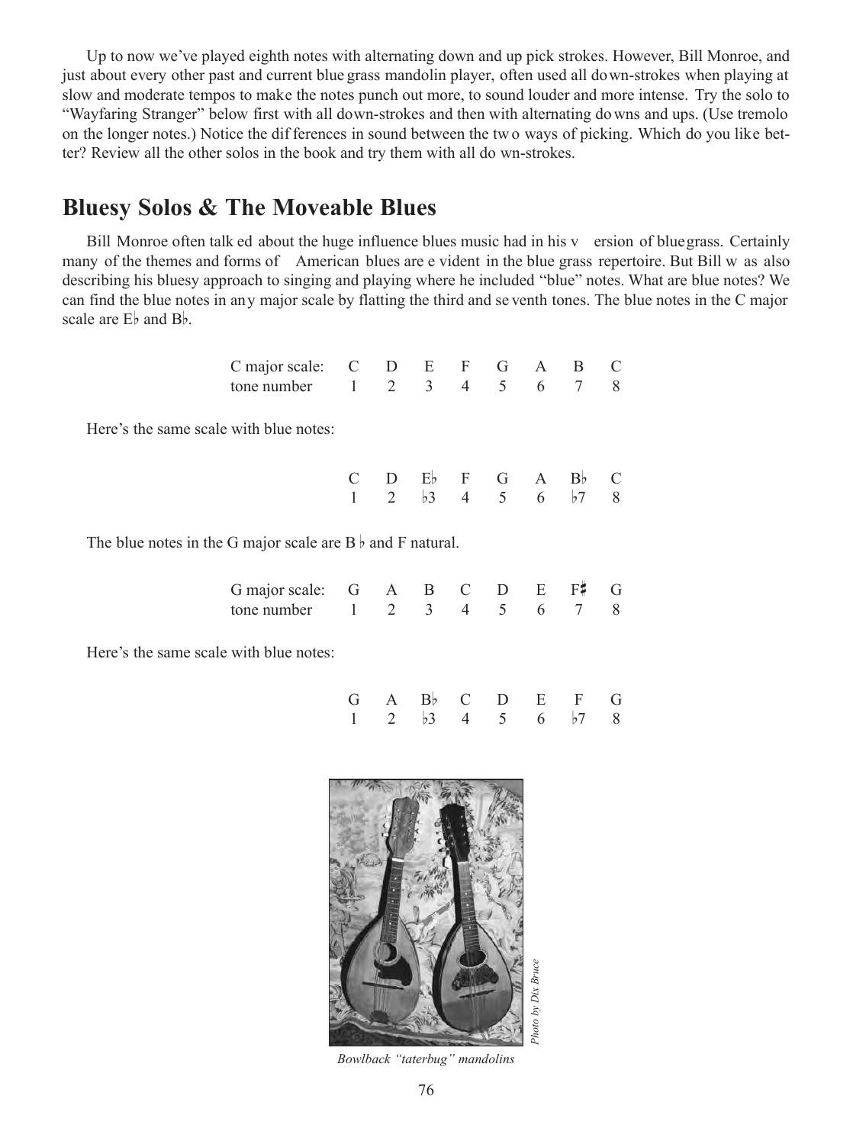Up to now we've played eighth notes with alternating down and up pick strokes. However, Bill Monroe, and just about every other past and current blue grass mandolin player, often used all down-strokes when playing at slow and moderate tempos to make the notes punch out more, to sound louder and more intense. Try the solo to "Wayfaring Stranger" below first with all down-strokes and then with alternating do wns and ups. (Use tremolo on the longer notes.) Notice the dif ferences in sound between the tw o ways of picking. Which do you like better? Review all the other solos in the book and try them with all do wn-strokes.

## **Bluesy Solos & The Moveable Blues**

Bill Monroe often talk ed about the huge influence blues music had in his v ersion of bluegrass. Certainly many of the themes and forms of American blues are e vident in the blue grass repertoire. But Bill w as also describing his bluesy approach to singing and playing where he included "blue" notes. What are blue notes? We can find the blue notes in any major scale by flatting the third and se venth tones. The blue notes in the C major scale are  $E_b$  and  $B_b$ .

| C major scale: C D E F G A B C              |  |  |  |  |
|---------------------------------------------|--|--|--|--|
| tone number $1 \t2 \t3 \t4 \t5 \t6 \t7 \t8$ |  |  |  |  |

Here's the same scale with blue notes:

|  |  |  | $C$ D Eb F G A Bb C                     |  |
|--|--|--|-----------------------------------------|--|
|  |  |  | 1 2 $\frac{1}{3}$ 4 5 6 $\frac{1}{7}$ 8 |  |

The blue notes in the G major scale are  $B \flat$  and F natural.

| G major scale: G A B C D E F# G             |  |  |  |  |
|---------------------------------------------|--|--|--|--|
| tone number $1 \t2 \t3 \t4 \t5 \t6 \t7 \t8$ |  |  |  |  |

Here's the same scale with blue notes:

|  | $G$ A $B$ <sub>b</sub> C $D$ E F $G$    |  |  |  |
|--|-----------------------------------------|--|--|--|
|  | 1 2 $\frac{1}{3}$ 4 5 6 $\frac{1}{7}$ 8 |  |  |  |



*Bowlback "taterbug" mandolins*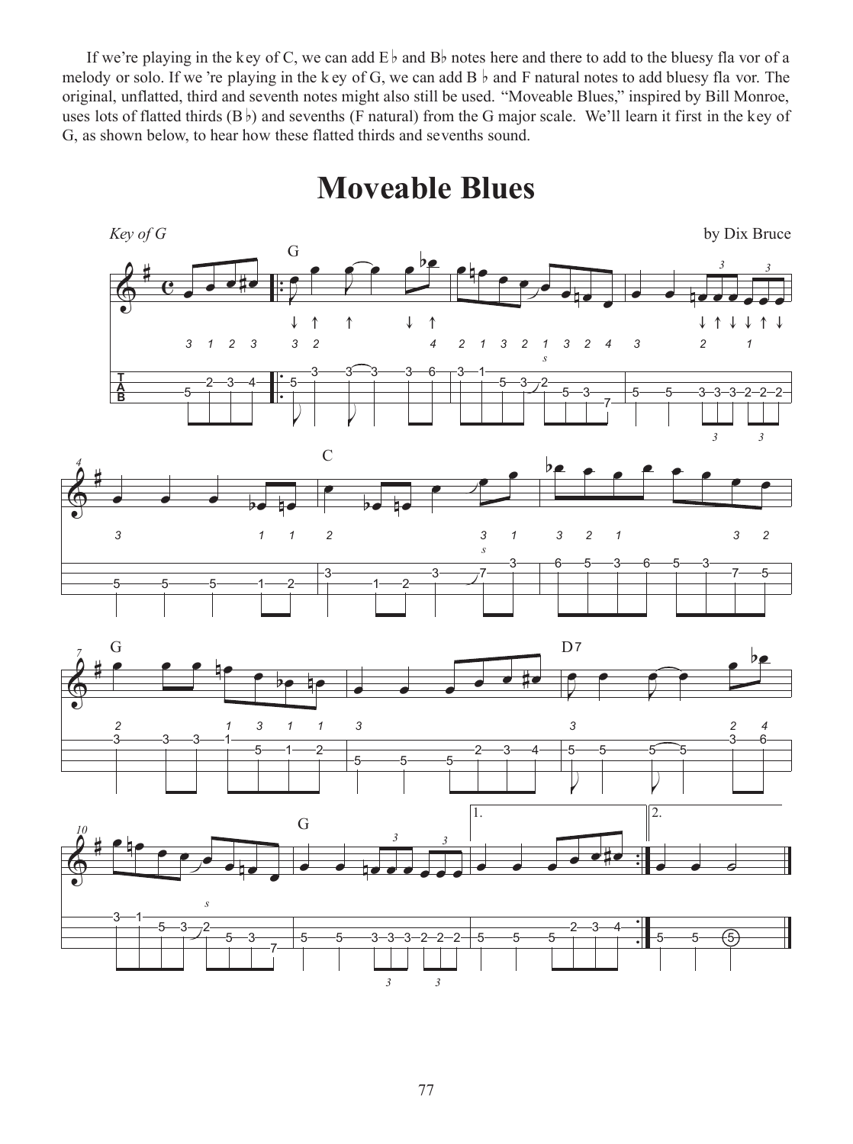If we're playing in the key of C, we can add  $E \flat$  and  $B \flat$  notes here and there to add to the bluesy fla vor of a melody or solo. If we 're playing in the k ey of G, we can add B  $\flat$  and F natural notes to add bluesy fla vor. The original, unflatted, third and seventh notes might also still be used. "Moveable Blues," inspired by Bill Monroe, uses lots of flatted thirds  $(B<sub>b</sub>)$  and sevenths (F natural) from the G major scale. We'll learn it first in the key of G, as shown below, to hear how these flatted thirds and sevenths sound.

**Moveable Blues**



*3*

*3*